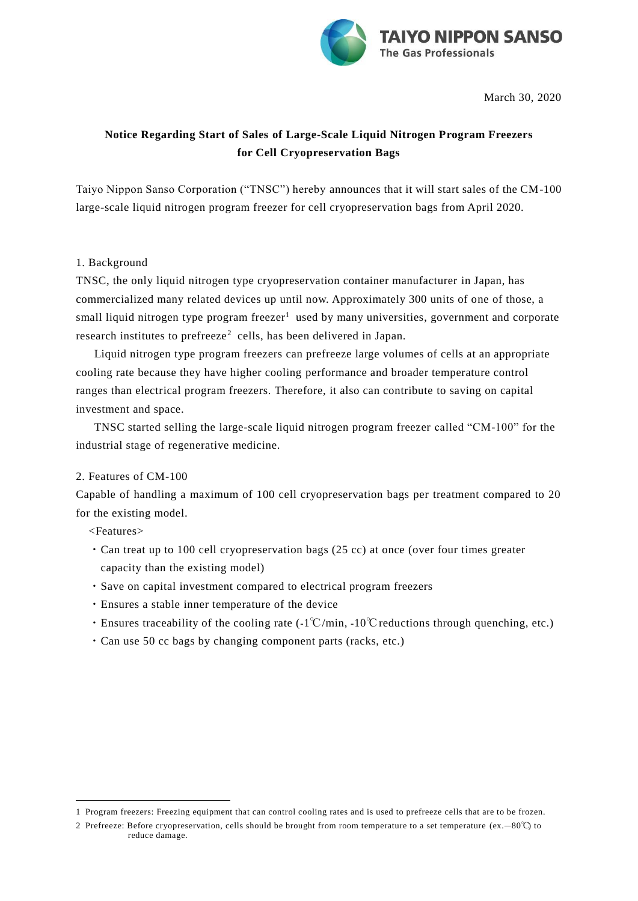

March 30, 2020

## **Notice Regarding Start of Sales of Large-Scale Liquid Nitrogen Program Freezers for Cell Cryopreservation Bags**

Taiyo Nippon Sanso Corporation ("TNSC") hereby announces that it will start sales of the CM-100 large-scale liquid nitrogen program freezer for cell cryopreservation bags from April 2020.

## 1. Background

TNSC, the only liquid nitrogen type cryopreservation container manufacturer in Japan, has commercialized many related devices up until now. Approximately 300 units of one of those, a small liquid nitrogen type program freezer<sup>1</sup> used by many universities, government and corporate research institutes to prefreeze<sup>2</sup> cells, has been delivered in Japan.

Liquid nitrogen type program freezers can prefreeze large volumes of cells at an appropriate cooling rate because they have higher cooling performance and broader temperature control ranges than electrical program freezers. Therefore, it also can contribute to saving on capital investment and space.

TNSC started selling the large-scale liquid nitrogen program freezer called "CM-100" for the industrial stage of regenerative medicine.

## 2. Features of CM-100

Capable of handling a maximum of 100 cell cryopreservation bags per treatment compared to 20 for the existing model.

<Features>

j.

- ・Can treat up to 100 cell cryopreservation bags (25 cc) at once (over four times greater capacity than the existing model)
- ・Save on capital investment compared to electrical program freezers
- ・Ensures a stable inner temperature of the device
- ・Ensures traceability of the cooling rate (-1℃/min, -10℃ reductions through quenching, etc.)
- ・Can use 50 cc bags by changing component parts (racks, etc.)

<sup>1</sup> Program freezers: Freezing equipment that can control cooling rates and is used to prefreeze cells that are to be frozen.

<sup>2</sup> Prefreeze: Before cryopreservation, cells should be brought from room temperature to a set temperature (ex.―80℃) to reduce damage.